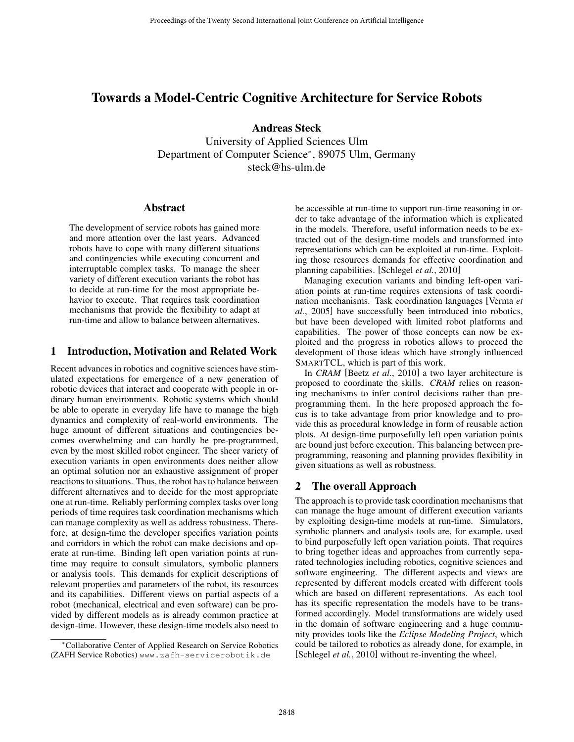# Towards a Model-Centric Cognitive Architecture for Service Robots

Andreas Steck

University of Applied Sciences Ulm Department of Computer Science∗, 89075 Ulm, Germany steck@hs-ulm.de

#### Abstract

The development of service robots has gained more and more attention over the last years. Advanced robots have to cope with many different situations and contingencies while executing concurrent and interruptable complex tasks. To manage the sheer variety of different execution variants the robot has to decide at run-time for the most appropriate behavior to execute. That requires task coordination mechanisms that provide the flexibility to adapt at run-time and allow to balance between alternatives.

### 1 Introduction, Motivation and Related Work

Recent advances in robotics and cognitive sciences have stimulated expectations for emergence of a new generation of robotic devices that interact and cooperate with people in ordinary human environments. Robotic systems which should be able to operate in everyday life have to manage the high dynamics and complexity of real-world environments. The huge amount of different situations and contingencies becomes overwhelming and can hardly be pre-programmed, even by the most skilled robot engineer. The sheer variety of execution variants in open environments does neither allow an optimal solution nor an exhaustive assignment of proper reactions to situations. Thus, the robot has to balance between different alternatives and to decide for the most appropriate one at run-time. Reliably performing complex tasks over long periods of time requires task coordination mechanisms which can manage complexity as well as address robustness. Therefore, at design-time the developer specifies variation points and corridors in which the robot can make decisions and operate at run-time. Binding left open variation points at runtime may require to consult simulators, symbolic planners or analysis tools. This demands for explicit descriptions of relevant properties and parameters of the robot, its resources and its capabilities. Different views on partial aspects of a robot (mechanical, electrical and even software) can be provided by different models as is already common practice at design-time. However, these design-time models also need to

be accessible at run-time to support run-time reasoning in order to take advantage of the information which is explicated in the models. Therefore, useful information needs to be extracted out of the design-time models and transformed into representations which can be exploited at run-time. Exploiting those resources demands for effective coordination and planning capabilities. [Schlegel *et al.*, 2010]

Managing execution variants and binding left-open variation points at run-time requires extensions of task coordination mechanisms. Task coordination languages [Verma *et al.*, 2005] have successfully been introduced into robotics, but have been developed with limited robot platforms and capabilities. The power of those concepts can now be exploited and the progress in robotics allows to proceed the development of those ideas which have strongly influenced SMARTTCL, which is part of this work.

In *CRAM* [Beetz *et al.*, 2010] a two layer architecture is proposed to coordinate the skills. *CRAM* relies on reasoning mechanisms to infer control decisions rather than preprogramming them. In the here proposed approach the focus is to take advantage from prior knowledge and to provide this as procedural knowledge in form of reusable action plots. At design-time purposefully left open variation points are bound just before execution. This balancing between preprogramming, reasoning and planning provides flexibility in given situations as well as robustness.

## 2 The overall Approach

The approach is to provide task coordination mechanisms that can manage the huge amount of different execution variants by exploiting design-time models at run-time. Simulators, symbolic planners and analysis tools are, for example, used to bind purposefully left open variation points. That requires to bring together ideas and approaches from currently separated technologies including robotics, cognitive sciences and software engineering. The different aspects and views are represented by different models created with different tools which are based on different representations. As each tool has its specific representation the models have to be transformed accordingly. Model transformations are widely used in the domain of software engineering and a huge community provides tools like the *Eclipse Modeling Project*, which could be tailored to robotics as already done, for example, in [Schlegel *et al.*, 2010] without re-inventing the wheel.

<sup>∗</sup>Collaborative Center of Applied Research on Service Robotics (ZAFH Service Robotics) www.zafh-servicerobotik.de